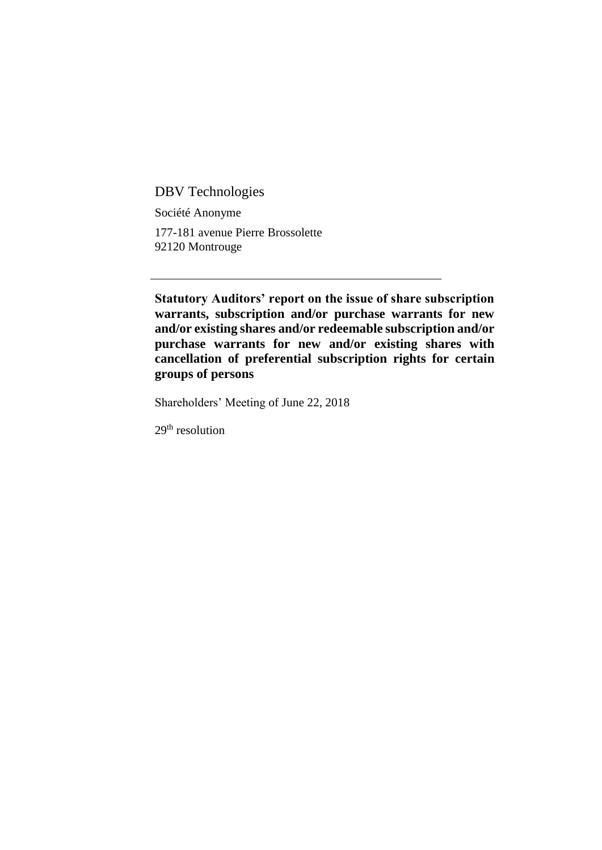DBV Technologies

Société Anonyme

177-181 avenue Pierre Brossolette 92120 Montrouge

**Statutory Auditors' report on the issue of share subscription warrants, subscription and/or purchase warrants for new and/or existing shares and/or redeemable subscription and/or purchase warrants for new and/or existing shares with cancellation of preferential subscription rights for certain groups of persons**

Shareholders' Meeting of June 22, 2018

29th resolution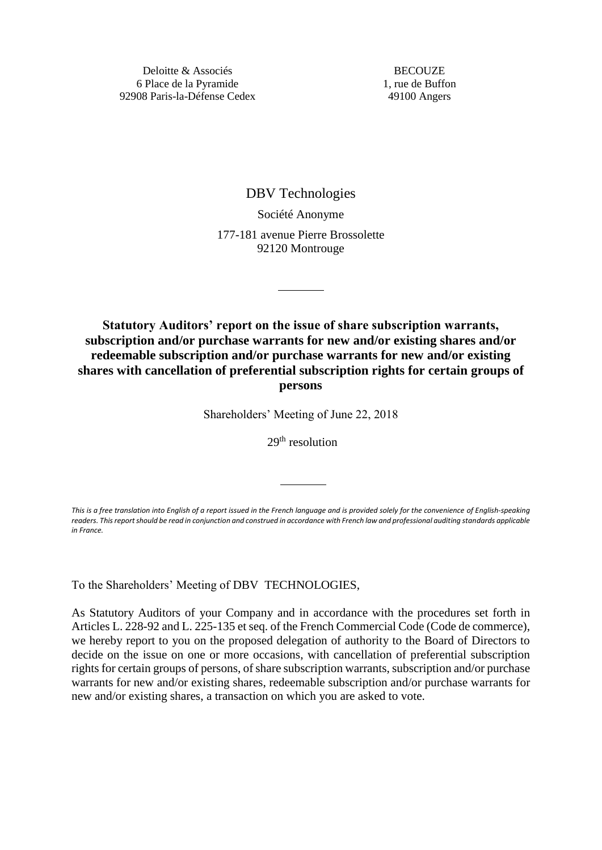**BECOUZE** 1, rue de Buffon 49100 Angers

DBV Technologies

Société Anonyme 177-181 avenue Pierre Brossolette 92120 Montrouge

**Statutory Auditors' report on the issue of share subscription warrants, subscription and/or purchase warrants for new and/or existing shares and/or redeemable subscription and/or purchase warrants for new and/or existing shares with cancellation of preferential subscription rights for certain groups of persons**

Shareholders' Meeting of June 22, 2018

29<sup>th</sup> resolution

*This is a free translation into English of a report issued in the French language and is provided solely for the convenience of English-speaking readers. This report should be read in conjunction and construed in accordance with French law and professional auditing standards applicable in France.*

To the Shareholders' Meeting of DBV TECHNOLOGIES,

As Statutory Auditors of your Company and in accordance with the procedures set forth in Articles L. 228-92 and L. 225-135 et seq. of the French Commercial Code (Code de commerce), we hereby report to you on the proposed delegation of authority to the Board of Directors to decide on the issue on one or more occasions, with cancellation of preferential subscription rights for certain groups of persons, of share subscription warrants, subscription and/or purchase warrants for new and/or existing shares, redeemable subscription and/or purchase warrants for new and/or existing shares, a transaction on which you are asked to vote.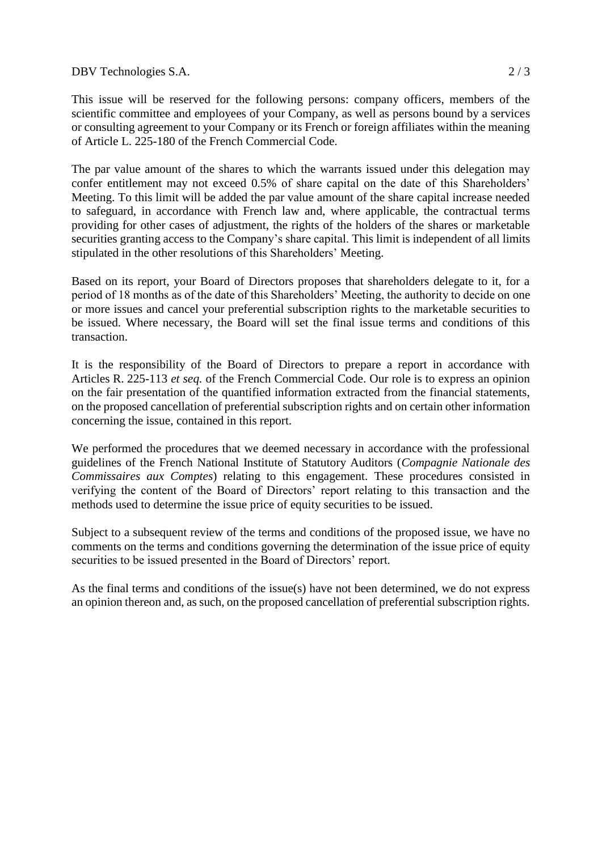DBV Technologies S.A. 2/3

This issue will be reserved for the following persons: company officers, members of the scientific committee and employees of your Company, as well as persons bound by a services or consulting agreement to your Company or its French or foreign affiliates within the meaning of Article L. 225-180 of the French Commercial Code.

The par value amount of the shares to which the warrants issued under this delegation may confer entitlement may not exceed 0.5% of share capital on the date of this Shareholders' Meeting. To this limit will be added the par value amount of the share capital increase needed to safeguard, in accordance with French law and, where applicable, the contractual terms providing for other cases of adjustment, the rights of the holders of the shares or marketable securities granting access to the Company's share capital. This limit is independent of all limits stipulated in the other resolutions of this Shareholders' Meeting.

Based on its report, your Board of Directors proposes that shareholders delegate to it, for a period of 18 months as of the date of this Shareholders' Meeting, the authority to decide on one or more issues and cancel your preferential subscription rights to the marketable securities to be issued. Where necessary, the Board will set the final issue terms and conditions of this transaction.

It is the responsibility of the Board of Directors to prepare a report in accordance with Articles R. 225-113 *et seq.* of the French Commercial Code. Our role is to express an opinion on the fair presentation of the quantified information extracted from the financial statements, on the proposed cancellation of preferential subscription rights and on certain other information concerning the issue, contained in this report.

We performed the procedures that we deemed necessary in accordance with the professional guidelines of the French National Institute of Statutory Auditors (*Compagnie Nationale des Commissaires aux Comptes*) relating to this engagement. These procedures consisted in verifying the content of the Board of Directors' report relating to this transaction and the methods used to determine the issue price of equity securities to be issued.

Subject to a subsequent review of the terms and conditions of the proposed issue, we have no comments on the terms and conditions governing the determination of the issue price of equity securities to be issued presented in the Board of Directors' report.

As the final terms and conditions of the issue(s) have not been determined, we do not express an opinion thereon and, as such, on the proposed cancellation of preferential subscription rights.